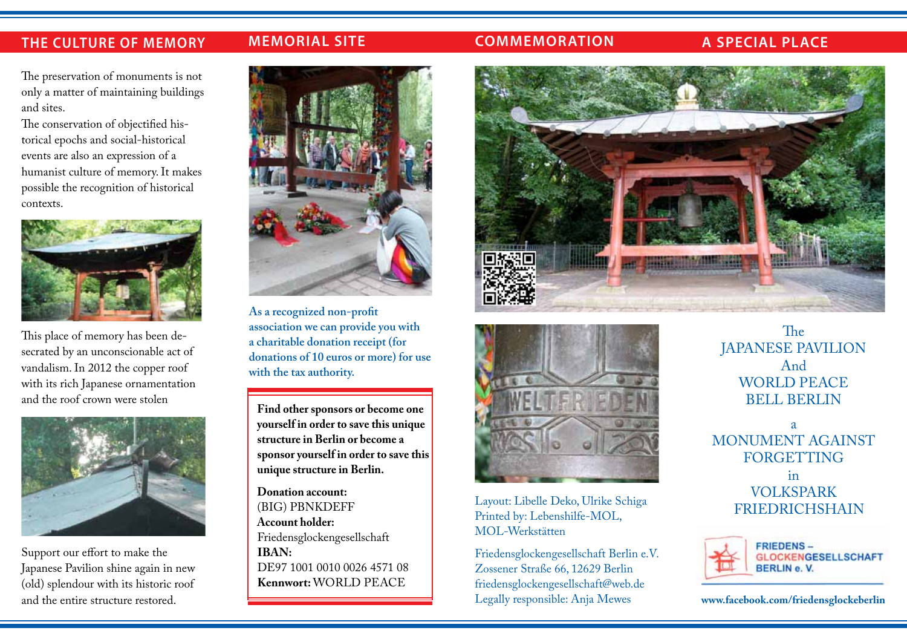# **THE CULTURE OF MEMORY**

# **E OF MEMORY** • **MEMORIAL SITE** • **1945 • 2017 • 2018**

### **COMMEMORATION A SPECIAL PLACE**

The preservation of monuments is not and sites.

The conservation of objectified historical epochs and social-historical events are also an expression of a humanist culture of memory. It makes possible the recognition of historical contexts.



This place of memory has been desecrated by an unconscionable act of vandalism. In 2012 the copper roof with its rich Japanese ornamentation and the roof crown were stolen



Support our effort to make the Japanese Pavilion shine again in new (old) splendour with its historic roof and the entire structure restored.



**As a recognized non-profit association we can provide you with a charitable donation receipt (for donations of 10 euros or more) for use with the tax authority.**

**Find other sponsors or become one yourself in order to save this unique structure in Berlin or become a sponsor yourself in order to save this unique structure in Berlin.**

**Donation account:** (BIG) PBNKDEFF **Account holder:** Friedensglockengesellschaft **IBAN:**  DE97 1001 0010 0026 4571 08 **Kennwort: WORLD PEACE** 





Layout: Libelle Deko, Ulrike Schiga Printed by: Lebenshilfe-MOL, MOL-Werkstätten

Friedensglockengesellschaft Berlin e.V. Zossener Straße 66, 12629 Berlin friedensglockengesellschaft@web.de Legally responsible: Anja Mewes

The JAPANESE PAVILION And WORLD PEACE BELL BERLIN

a MONUMENT AGAINST **FORGETTING** in VOLKSPARK FRIEDRICHSHAIN



**www.facebook.com/friedensglockeberlin**